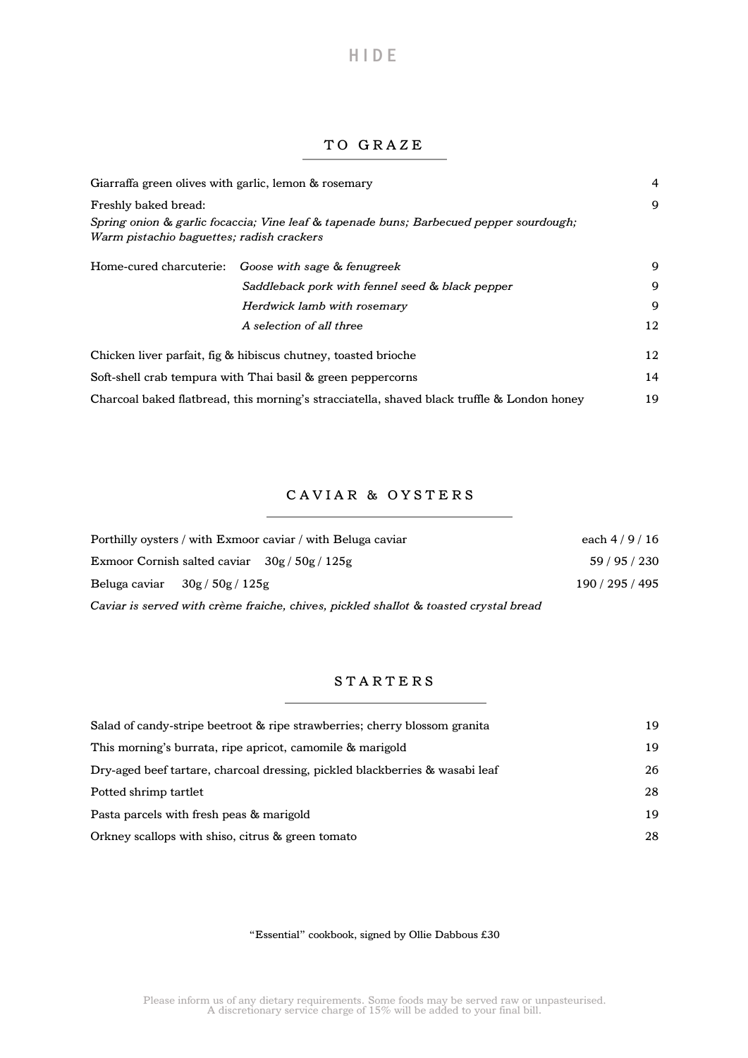# T O G R A Z E

H I D E

| Giarraffa green olives with garlic, lemon & rosemary |                                                                                             | 4  |
|------------------------------------------------------|---------------------------------------------------------------------------------------------|----|
| Freshly baked bread:                                 |                                                                                             | 9  |
| Warm pistachio baguettes; radish crackers            | Spring onion & garlic focaccia; Vine leaf & tapenade buns; Barbecued pepper sourdough;      |    |
|                                                      | Home-cured charcuterie: Goose with sage & fenugreek                                         | 9  |
|                                                      | Saddleback pork with fennel seed & black pepper                                             | 9  |
|                                                      | Herdwick lamb with rosemary                                                                 | 9  |
|                                                      | A selection of all three                                                                    | 12 |
|                                                      | Chicken liver parfait, fig & hibiscus chutney, toasted brioche                              | 12 |
|                                                      | Soft-shell crab tempura with Thai basil & green peppercorns                                 | 14 |
|                                                      | Charcoal baked flatbread, this morning's stracciatella, shaved black truffle & London honey | 19 |

### CAVIAR & OYSTERS

| Porthilly ovsters / with Exmoor caviar / with Beluga caviar                          | each $4/9/16$   |
|--------------------------------------------------------------------------------------|-----------------|
| Exmoor Cornish salted caviar $30g / 50g / 125g$                                      | 59/95/230       |
| Beluga caviar $30g / 50g / 125g$                                                     | 190 / 295 / 495 |
| Caviar is served with crème fraiche, chives, pickled shallot & toasted crystal bread |                 |

### **STARTERS**

| Salad of candy-stripe beetroot & ripe strawberries; cherry blossom granita   |    |
|------------------------------------------------------------------------------|----|
| This morning's burrata, ripe apricot, camomile & marigold                    | 19 |
| Dry-aged beef tartare, charcoal dressing, pickled blackberries & wasabi leaf | 26 |
| Potted shrimp tartlet                                                        | 28 |
| Pasta parcels with fresh peas & marigold                                     | 19 |
| Orkney scallops with shiso, citrus & green tomato                            | 28 |

#### "Essential" cookbook, signed by Ollie Dabbous  $\pounds 30$